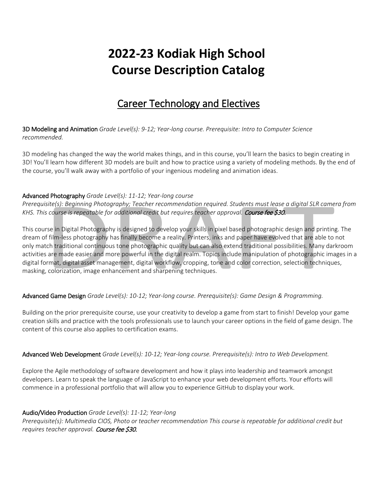# **2022-23 Kodiak High School Course Description Catalog**

# Career Technology and Electives

3D Modeling and Animation *Grade Level(s): 9-12; Year-long course. Prerequisite: Intro to Computer Science recommended.*

3D modeling has changed the way the world makes things, and in this course, you'll learn the basics to begin creating in 3D! You'll learn how different 3D models are built and how to practice using a variety of modeling methods. By the end of the course, you'll walk away with a portfolio of your ingenious modeling and animation ideas.

#### Advanced Photography *Grade Level(s): 11-12; Year-long course*

*Prerequisite(s): Beginning Photography; Teacher recommendation required. Students must lease a digital SLR camera from KHS. This course is repeatable for additional credit but requires teacher approval.* Course fee \$30.

This course in Digital Photography is designed to develop your skills in pixel based photographic design and printing. The dream of film-less photography has finally become a reality. Printers, inks and paper have evolved that are able to not only match traditional continuous tone photographic quality but can also extend traditional possibilities. Many darkroom activities are made easier and more powerful in the digital realm. Topics include manipulation of photographic images in a digital format, digital asset management, digital workflow, cropping, tone and color correction, selection techniques, masking, colorization, image enhancement and sharpening techniques.

## Advanced Game Design *Grade Level(s): 10-12; Year-long course. Prerequisite(s): Game Design & Programming.*

Building on the prior prerequisite course, use your creativity to develop a game from start to finish! Develop your game creation skills and practice with the tools professionals use to launch your career options in the field of game design. The content of this course also applies to certification exams.

#### Advanced Web Development *Grade Level(s): 10-12; Year-long course. Prerequisite(s): Intro to Web Development.*

Explore the Agile methodology of software development and how it plays into leadership and teamwork amongst developers. Learn to speak the language of JavaScript to enhance your web development efforts. Your efforts will commence in a professional portfolio that will allow you to experience GitHub to display your work.

#### Audio/Video Production *Grade Level(s): 11-12; Year-long*

*Prerequisite(s): Multimedia CIOS, Photo or teacher recommendation This course is repeatable for additional credit but requires teacher approval.* Course fee \$30.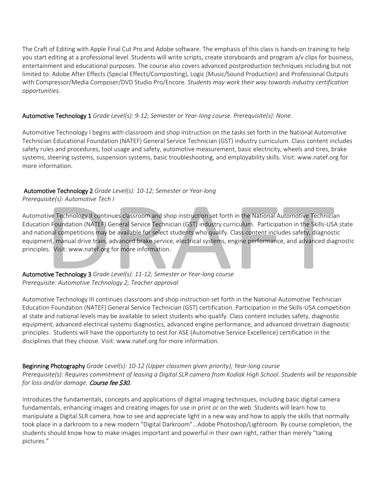The Craft of Editing with Apple Final Cut Pro and Adobe software. The emphasis of this class is hands-on training to help you start editing at a professional level. Students will write scripts, create storyboards and program a/v clips for business, entertainment and educational purposes. The course also covers advanced postproduction techniques including but not limited to: Adobe After Effects (Special Effects/Compositing), Logic (Music/Sound Production) and Professional Outputs with Compressor/Media Composer/DVD Studio Pro/Encore. *Students may work their way towards industry certification opportunities.*

## Automotive Technology 1 *Grade Level(s): 9-12; Semester or Year-long course. Prerequisite(s): None.*

Automotive Technology I begins with classroom and shop instruction on the tasks set forth in the National Automotive Technician Educational Foundation (NATEF) General Service Technician (GST) industry curriculum. Class content includes safety rules and procedures, tool usage and safety, automotive measurement, basic electricity, wheels and tires, brake systems, steering systems, suspension systems, basic troubleshooting, and employability skills. Visit: www.natef.org for more information.

# Automotive Technology 2 *Grade Level(s): 10-12; Semester or Year-long*

*Prerequisite(s): Automotive Tech I*

Automotive Technology II continues classroom and shop instruction set forth in the National Automotive Technician Education Foundation (NATEF) General Service Technician (GST) industry curriculum.  Participation in the Skills-USA state and national competitions may be available for select students who qualify. Class content includes safety, diagnostic equipment, manual drive train, advanced brake service, electrical systems, engine performance, and advanced diagnostic principles.  Visit: www.natef.org for more information.

Automotive Technology 3 *Grade Level(s): 11-12; Semester or Year-long course Prerequisite: Automotive Technology 2; Teacher approval*

Automotive Technology III continues classroom and shop instruction set forth in the National Automotive Technician Education Foundation (NATEF) General Service Technician (GST) certification. Participation in the Skills-USA competition at state and national levels may be available to select students who qualify. Class content includes safety, diagnostic equipment, advanced electrical systems diagnostics, advanced engine performance, and advanced drivetrain diagnostic principles.  Students will have the opportunity to test for ASE (Automotive Service Excellence) certification in the disciplines that they choose. Visit: www.natef.org for more information.

Beginning Photography *Grade Level(s): 10-12 (Upper classmen given priority); Year-long course Prerequisite(s): Requires commitment of leasing a Digital SLR camera from Kodiak High School. Students will be responsible for loss and/or damage.* Course fee \$30.

Introduces the fundamentals, concepts and applications of digital imaging techniques, including basic digital camera fundamentals, enhancing images and creating images for use in print or on the web. Students will learn how to manipulate a Digital SLR camera, how to see and appreciate light in a new way and how to apply the skills that normally took place in a darkroom to a new modern "Digital Darkroom"...Adobe Photoshop/Lightroom. By course completion, the students should know how to make images important and powerful in their own right, rather than merely "taking pictures."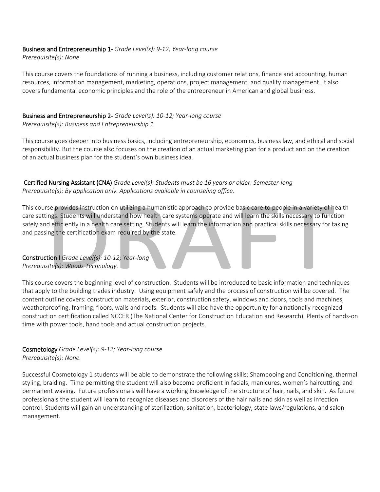# Business and Entrepreneurship 1- *Grade Level(s): 9-12; Year-long course*

*Prerequisite(s): None*

This course covers the foundations of running a business, including customer relations, finance and accounting, human resources, information management, marketing, operations, project management, and quality management. It also covers fundamental economic principles and the role of the entrepreneur in American and global business.

#### Business and Entrepreneurship 2- *Grade Level(s): 10-12; Year-long course Prerequisite(s): Business and Entrepreneurship 1*

This course goes deeper into business basics, including entrepreneurship, economics, business law, and ethical and social responsibility. But the course also focuses on the creation of an actual marketing plan for a product and on the creation of an actual business plan for the student's own business idea.

Certified Nursing Assistant (CNA) *Grade Level(s): Students must be 16 years or older; Semester-long Prerequisite(s): By application only. Applications available in counseling office.*

This course provides instruction on utilizing a humanistic approach to provide basic care to people in a variety of health care settings. Students will understand how health care systems operate and will learn the skills necessary to function safely and efficiently in a health care setting. Students will learn the information and practical skills necessary for taking and passing the certification exam required by the state.

#### Construction I *Grade Level(s): 10-12; Year-long Prerequisite(s): Woods Technology.*

This course covers the beginning level of construction.  Students will be introduced to basic information and techniques that apply to the building trades industry.  Using equipment safely and the process of construction will be covered.  The content outline covers: construction materials, exterior, construction safety, windows and doors, tools and machines, weatherproofing, framing, floors, walls and roofs.  Students will also have the opportunity for a nationally recognized construction certification called NCCER (The National Center for Construction Education and Research). Plenty of hands-on time with power tools, hand tools and actual construction projects.

Cosmetology *Grade Level(s): 9-12; Year-long course Prerequisite(s): None.*

Successful Cosmetology 1 students will be able to demonstrate the following skills: Shampooing and Conditioning, thermal styling, braiding.  Time permitting the student will also become proficient in facials, manicures, women's haircutting, and permanent waving.  Future professionals will have a working knowledge of the structure of hair, nails, and skin.  As future professionals the student will learn to recognize diseases and disorders of the hair nails and skin as well as infection control. Students will gain an understanding of sterilization, sanitation, bacteriology, state laws/regulations, and salon management.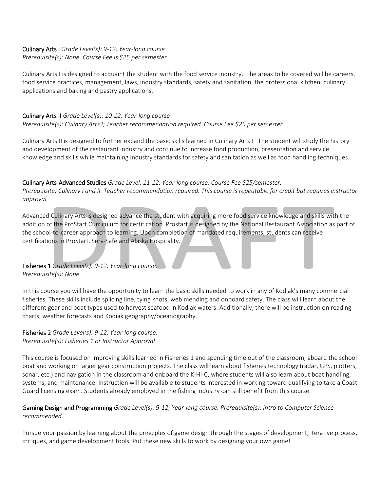#### Culinary Arts I *Grade Level(s): 9-12; Year-long course Prerequisite(s): None. Course Fee is \$25 per semester*

Culinary Arts I is designed to acquaint the student with the food service industry. The areas to be covered will be careers, food service practices, management, laws, industry standards, safety and sanitation, the professional kitchen, culinary applications and baking and pastry applications.

# Culinary Arts II *Grade Level(s): 10-12; Year-long course Prerequisite(s): Culinary Arts I; Teacher recommendation required. Course Fee \$25 per semester*

Culinary Arts II is designed to further expand the basic skills learned in Culinary Arts I. The student will study the history and development of the restaurant industry and continue to increase food production, presentation and service knowledge and skills while maintaining industry standards for safety and sanitation as well as food handling techniques.

# Culinary Arts-Advanced Studies *Grade Level: 11-12. Year-long course. Course Fee \$25/semester.*

*Prerequisite: Culinary I and II. Teacher recommendation required. This course is repeatable for credit but requires instructor approval.*

Advanced Culinary Arts is designed advance the student with acquiring more food service knowledge and skills with the addition of the ProStart Curriculum for certification. Prostart is designed by the National Restaurant Association as part of the school-to-career approach to learning. Upon completion of mandated requirements, students can receive certifications in ProStart, Serv-Safe and Alaska Hospitality.

# Fisheries 1 *Grade Level(s): 9-12; Year-long course. Prerequisite(s): None*

In this course you will have the opportunity to learn the basic skills needed to work in any of Kodiak's many commercial fisheries. These skills include splicing line, tying knots, web mending and onboard safety. The class will learn about the different gear and boat types used to harvest seafood in Kodiak waters. Additionally, there will be instruction on reading charts, weather forecasts and Kodiak geography/oceanography.

## Fisheries 2 *Grade Level(s): 9-12; Year-long course. Prerequisite(s): Fisheries 1 or Instructor Approval*

This course is focused on improving skills learned in Fisheries 1 and spending time out of the classroom, aboard the school boat and working on larger gear construction projects. The class will learn about fisheries technology (radar, GPS, plotters, sonar, etc.) and navigation in the classroom and onboard the K-HI-C, where students will also learn about boat handling, systems, and maintenance. Instruction will be available to students interested in working toward qualifying to take a Coast Guard licensing exam. Students already employed in the fishing industry can still benefit from this course.

# Gaming Design and Programming *Grade Level(s): 9-12; Year-long course. Prerequisite(s): Intro to Computer Science recommended.*

Pursue your passion by learning about the principles of game design through the stages of development, iterative process, critiques, and game development tools. Put these new skills to work by designing your own game!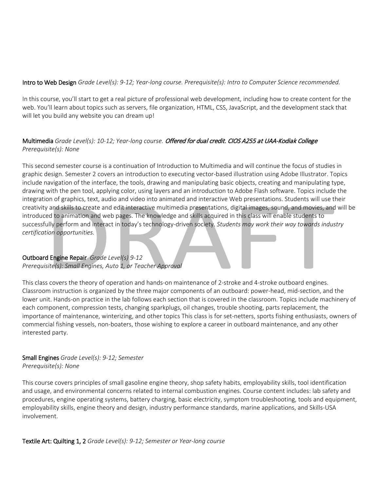## Intro to Web Design *Grade Level(s): 9-12; Year-long course. Prerequisite(s): Intro to Computer Science recommended.*

In this course, you'll start to get a real picture of professional web development, including how to create content for the web. You'll learn about topics such as servers, file organization, HTML, CSS, JavaScript, and the development stack that will let you build any website you can dream up!

# Multimedia *Grade Level(s): 10-12; Year-long course.* Offered for dual credit. CIOS A255 at UAA-Kodiak College *Prerequisite(s): None*

This second semester course is a continuation of Introduction to Multimedia and will continue the focus of studies in graphic design. Semester 2 covers an introduction to executing vector-based illustration using Adobe Illustrator. Topics include navigation of the interface, the tools, drawing and manipulating basic objects, creating and manipulating type, drawing with the pen tool, applying color, using layers and an introduction to Adobe Flash software. Topics include the integration of graphics, text, audio and video into animated and interactive Web presentations. Students will use their creativity and skills to create and edit interactive multimedia presentations, digital images, sound, and movies, and will be introduced to animation and web pages. The knowledge and skills acquired in this class will enable students to successfully perform and interact in today's technology-driven society. *Students may work their way towards industry certification opportunities.*

## Outboard Engine Repair *Grade Level(s) 9-12*

*Prerequisite(s): Small Engines, Auto 1, or Teacher Approval*

This class covers the theory of operation and hands-on maintenance of 2-stroke and 4-stroke outboard engines. Classroom instruction is organized by the three major components of an outboard: power-head, mid-section, and the lower unit. Hands-on practice in the lab follows each section that is covered in the classroom. Topics include machinery of each component, compression tests, changing sparkplugs, oil changes, trouble shooting, parts replacement, the importance of maintenance, winterizing, and other topics This class is for set-netters, sports fishing enthusiasts, owners of commercial fishing vessels, non-boaters, those wishing to explore a career in outboard maintenance, and any other interested party.

## Small Engines *Grade Level(s): 9-12; Semester Prerequisite(s): None*

This course covers principles of small gasoline engine theory, shop safety habits, employability skills, tool identification and usage, and environmental concerns related to internal combustion engines. Course content includes: lab safety and procedures, engine operating systems, battery charging, basic electricity, symptom troubleshooting, tools and equipment, employability skills, engine theory and design, industry performance standards, marine applications, and Skills-USA involvement.

Textile Art: Quilting 1, 2 *Grade Level(s): 9-12; Semester or Year-long course*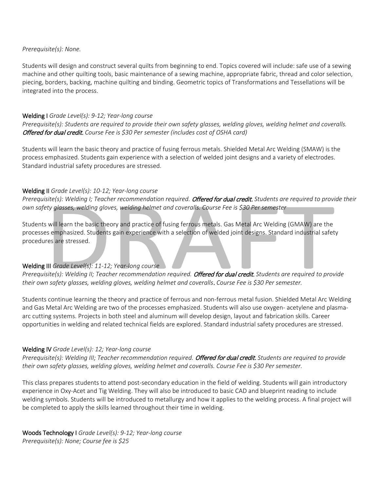#### *Prerequisite(s): None.*

Students will design and construct several quilts from beginning to end. Topics covered will include: safe use of a sewing machine and other quilting tools, basic maintenance of a sewing machine, appropriate fabric, thread and color selection, piecing, borders, backing, machine quilting and binding. Geometric topics of Transformations and Tessellations will be integrated into the process.

#### Welding I *Grade Level(s): 9-12; Year-long course*

*Prerequisite(s): Students are required to provide their own safety glasses, welding gloves, welding helmet and coveralls.* Offered for dual credit. *Course Fee is \$30 Per semester (includes cost of OSHA card)*

Students will learn the basic theory and practice of fusing ferrous metals. Shielded Metal Arc Welding (SMAW) is the process emphasized. Students gain experience with a selection of welded joint designs and a variety of electrodes. Standard industrial safety procedures are stressed.

#### Welding II *Grade Level(s): 10-12; Year-long course*

*Prerequisite(s): Welding I; Teacher recommendation required.* Offered for dual credit. *Students are required to provide their own safety glasses, welding gloves, welding helmet and coveralls. Course Fee is \$30 Per semester*

Students will learn the basic theory and practice of fusing ferrous metals. Gas Metal Arc Welding (GMAW) are the processes emphasized. Students gain experience with a selection of welded joint designs. Standard industrial safety procedures are stressed.

## Welding III *Grade Level(s): 11-12; Year-long course*

*Prerequisite(s): Welding II; Teacher recommendation required.* Offered for dual credit. *Students are required to provide their own safety glasses, welding gloves, welding helmet and coveralls*. *Course Fee is \$30 Per semester.*

Students continue learning the theory and practice of ferrous and non-ferrous metal fusion. Shielded Metal Arc Welding and Gas Metal Arc Welding are two of the processes emphasized. Students will also use oxygen- acetylene and plasmaarc cutting systems. Projects in both steel and aluminum will develop design, layout and fabrication skills. Career opportunities in welding and related technical fields are explored. Standard industrial safety procedures are stressed.

#### Welding IV *Grade Level(s): 12; Year-long course*

*Prerequisite(s): Welding III; Teacher recommendation required.* Offered for dual credit. *Students are required to provide their own safety glasses, welding gloves, welding helmet and coveralls. Course Fee is \$30 Per semester.*

This class prepares students to attend post-secondary education in the field of welding. Students will gain introductory experience in Oxy-Acet and Tig Welding. They will also be introduced to basic CAD and blueprint reading to include welding symbols. Students will be introduced to metallurgy and how it applies to the welding process. A final project will be completed to apply the skills learned throughout their time in welding.

Woods Technology I *Grade Level(s): 9-12; Year-long course Prerequisite(s): None; Course fee is \$25*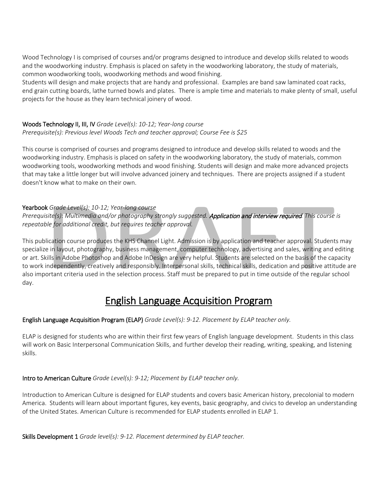Wood Technology I is comprised of courses and/or programs designed to introduce and develop skills related to woods and the woodworking industry. Emphasis is placed on safety in the woodworking laboratory, the study of materials, common woodworking tools, woodworking methods and wood finishing.

Students will design and make projects that are handy and professional.  Examples are band saw laminated coat racks, end grain cutting boards, lathe turned bowls and plates.  There is ample time and materials to make plenty of small, useful projects for the house as they learn technical joinery of wood.

#### Woods Technology II, III, IV *Grade Level(s): 10-12; Year-long course Prerequisite(s): Previous level Woods Tech and teacher approval; Course Fee is \$25*

This course is comprised of courses and programs designed to introduce and develop skills related to woods and the woodworking industry. Emphasis is placed on safety in the woodworking laboratory, the study of materials, common woodworking tools, woodworking methods and wood finishing. Students will design and make more advanced projects that may take a little longer but will involve advanced joinery and techniques.  There are projects assigned if a student doesn't know what to make on their own.

# Yearbook *Grade Level(s): 10-12; Year-long course*

*Prerequisite(s): Multimedia and/or photography strongly suggested.* Application and interview required*. This course is repeatable for additional credit, but requires teacher approval.*

This publication course produces the KHS Channel Light. Admission is by application and teacher approval. Students may specialize in layout, photography, business management, computer technology, advertising and sales, writing and editing or art. Skills in Adobe Photoshop and Adobe InDesign are very helpful. Students are selected on the basis of the capacity to work independently, creatively and responsibly. Interpersonal skills, technical skills, dedication and positive attitude are also important criteria used in the selection process. Staff must be prepared to put in time outside of the regular school day. 

# English Language Acquisition Program

# English Language Acquisition Program (ELAP) *Grade Level(s): 9-12. Placement by ELAP teacher only.*

ELAP is designed for students who are within their first few years of English language development. Students in this class will work on Basic Interpersonal Communication Skills, and further develop their reading, writing, speaking, and listening skills.

# Intro to American Culture *Grade Level(s): 9-12; Placement by ELAP teacher only.*

Introduction to American Culture is designed for ELAP students and covers basic American history, precolonial to modern America.  Students will learn about important figures, key events, basic geography, and civics to develop an understanding of the United States. American Culture is recommended for ELAP students enrolled in ELAP 1.

Skills Development 1 *Grade level(s): 9-12. Placement determined by ELAP teacher.*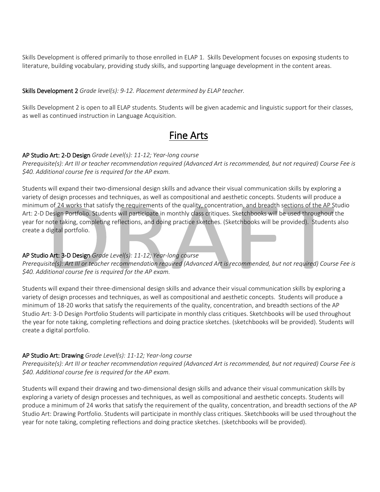Skills Development is offered primarily to those enrolled in ELAP 1.  Skills Development focuses on exposing students to literature, building vocabulary, providing study skills, and supporting language development in the content areas.

#### Skills Development 2 *Grade level(s): 9-12. Placement determined by ELAP teacher.*

Skills Development 2 is open to all ELAP students. Students will be given academic and linguistic support for their classes, as well as continued instruction in Language Acquisition.

# Fine Arts

#### AP Studio Art: 2-D Design *Grade Level(s): 11-12; Year-long course*

*Prerequisite(s): Art III or teacher recommendation required (Advanced Art is recommended, but not required) Course Fee is \$40. Additional course fee is required for the AP exam.*

Students will expand their two-dimensional design skills and advance their visual communication skills by exploring a variety of design processes and techniques, as well as compositional and aesthetic concepts. Students will produce a minimum of 24 works that satisfy the requirements of the quality, concentration, and breadth sections of the AP Studio Art: 2-D Design Portfolio. Students will participate in monthly class critiques. Sketchbooks will be used throughout the year for note taking, completing reflections, and doing practice sketches. (Sketchbooks will be provided). Students also create a digital portfolio.

## AP Studio Art: 3-D Design *Grade Level(s): 11-12; Year-long course*

*Prerequisite(s): Art III or teacher recommendation required (Advanced Art is recommended, but not required) Course Fee is \$40. Additional course fee is required for the AP exam.*

Students will expand their three-dimensional design skills and advance their visual communication skills by exploring a variety of design processes and techniques, as well as compositional and aesthetic concepts. Students will produce a minimum of 18-20 works that satisfy the requirements of the quality, concentration, and breadth sections of the AP Studio Art: 3-D Design Portfolio Students will participate in monthly class critiques. Sketchbooks will be used throughout the year for note taking, completing reflections and doing practice sketches. (sketchbooks will be provided). Students will create a digital portfolio.

#### AP Studio Art: Drawing *Grade Level(s): 11-12; Year-long course*

*Prerequisite(s): Art III or teacher recommendation required (Advanced Art is recommended, but not required) Course Fee is \$40. Additional course fee is required for the AP exam.*

Students will expand their drawing and two-dimensional design skills and advance their visual communication skills by exploring a variety of design processes and techniques, as well as compositional and aesthetic concepts. Students will produce a minimum of 24 works that satisfy the requirement of the quality, concentration, and breadth sections of the AP Studio Art: Drawing Portfolio. Students will participate in monthly class critiques. Sketchbooks will be used throughout the year for note taking, completing reflections and doing practice sketches. (sketchbooks will be provided).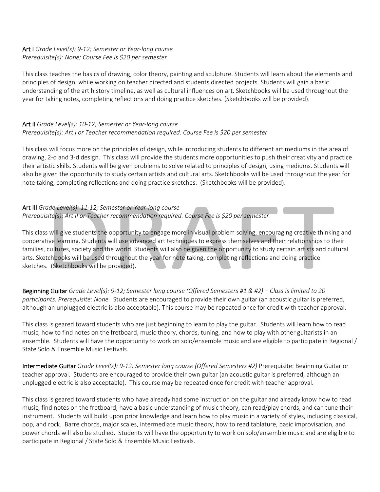## Art I *Grade Level(s): 9-12; Semester or Year-long course Prerequisite(s): None; Course Fee is \$20 per semester*

This class teaches the basics of drawing, color theory, painting and sculpture. Students will learn about the elements and principles of design, while working on teacher directed and students directed projects. Students will gain a basic understanding of the art history timeline, as well as cultural influences on art. Sketchbooks will be used throughout the year for taking notes, completing reflections and doing practice sketches. (Sketchbooks will be provided).

#### Art II *Grade Level(s): 10-12; Semester or Year-long course Prerequisite(s): Art I or Teacher recommendation required. Course Fee is \$20 per semester*

This class will focus more on the principles of design, while introducing students to different art mediums in the area of drawing, 2-d and 3-d design. This class will provide the students more opportunities to push their creativity and practice their artistic skills. Students will be given problems to solve related to principles of design, using mediums. Students will also be given the opportunity to study certain artists and cultural arts. Sketchbooks will be used throughout the year for note taking, completing reflections and doing practice sketches. (Sketchbooks will be provided).

## Art III *Grade Level(s): 11-12; Semester or Year-long course Prerequisite(s): Art II or Teacher recommendation required. Course Fee is \$20 per semester*

This class will give students the opportunity to engage more in visual problem solving, encouraging creative thinking and cooperative learning. Students will use advanced art techniques to express themselves and their relationships to their families, cultures, society and the world. Students will also be given the opportunity to study certain artists and cultural arts. Sketchbooks will be used throughout the year for note taking, completing reflections and doing practice sketches. (Sketchbooks will be provided).

Beginning Guitar *Grade Level(s): 9-12; Semester long course (Offered Semesters #1 & #2) – Class is limited to 20 participants. Prerequisite: None.* Students are encouraged to provide their own guitar (an acoustic guitar is preferred, although an unplugged electric is also acceptable). This course may be repeated once for credit with teacher approval.

This class is geared toward students who are just beginning to learn to play the guitar. Students will learn how to read music, how to find notes on the fretboard, music theory, chords, tuning, and how to play with other guitarists in an ensemble. Students will have the opportunity to work on solo/ensemble music and are eligible to participate in Regional / State Solo & Ensemble Music Festivals.

Intermediate Guitar *Grade Level(s): 9-12; Semester long course (Offered Semesters #2)* Prerequisite: Beginning Guitar or teacher approval. Students are encouraged to provide their own guitar (an acoustic guitar is preferred, although an unplugged electric is also acceptable). This course may be repeated once for credit with teacher approval.

This class is geared toward students who have already had some instruction on the guitar and already know how to read music, find notes on the fretboard, have a basic understanding of music theory, can read/play chords, and can tune their instrument. Students will build upon prior knowledge and learn how to play music in a variety of styles, including classical, pop, and rock. Barre chords, major scales, intermediate music theory, how to read tablature, basic improvisation, and power chords will also be studied. Students will have the opportunity to work on solo/ensemble music and are eligible to participate in Regional / State Solo & Ensemble Music Festivals.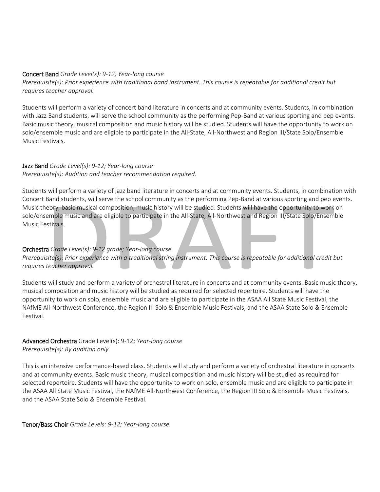#### Concert Band *Grade Level(s): 9-12; Year-long course*

*Prerequisite(s): Prior experience with traditional band instrument. This course is repeatable for additional credit but requires teacher approval.*

Students will perform a variety of concert band literature in concerts and at community events. Students, in combination with Jazz Band students, will serve the school community as the performing Pep-Band at various sporting and pep events. Basic music theory, musical composition and music history will be studied. Students will have the opportunity to work on solo/ensemble music and are eligible to participate in the All-State, All-Northwest and Region III/State Solo/Ensemble Music Festivals.

#### Jazz Band *Grade Level(s): 9-12; Year-long course Prerequisite(s): Audition and teacher recommendation required.*

Students will perform a variety of jazz band literature in concerts and at community events. Students, in combination with Concert Band students, will serve the school community as the performing Pep-Band at various sporting and pep events. Music theory, basic musical composition, music history will be studied. Students will have the opportunity to work on solo/ensemble music and are eligible to participate in the All-State, All-Northwest and Region III/State Solo/Ensemble Music Festivals.

# Orchestra *Grade Level(s): 9-12 grade; Year-long course*

*Prerequisite(s): Prior experience with a traditional string instrument. This course is repeatable for additional credit but requires teacher approval.*

Students will study and perform a variety of orchestral literature in concerts and at community events. Basic music theory, musical composition and music history will be studied as required for selected repertoire. Students will have the opportunity to work on solo, ensemble music and are eligible to participate in the ASAA All State Music Festival, the NAfME All-Northwest Conference, the Region III Solo & Ensemble Music Festivals, and the ASAA State Solo & Ensemble Festival.

#### Advanced Orchestra Grade Level(s): 9-12; *Year-long course Prerequisite(s): By audition only.*

This is an intensive performance-based class. Students will study and perform a variety of orchestral literature in concerts and at community events. Basic music theory, musical composition and music history will be studied as required for selected repertoire. Students will have the opportunity to work on solo, ensemble music and are eligible to participate in the ASAA All State Music Festival, the NAfME All-Northwest Conference, the Region III Solo & Ensemble Music Festivals, and the ASAA State Solo & Ensemble Festival.

Tenor/Bass Choir *Grade Levels: 9-12; Year-long course.*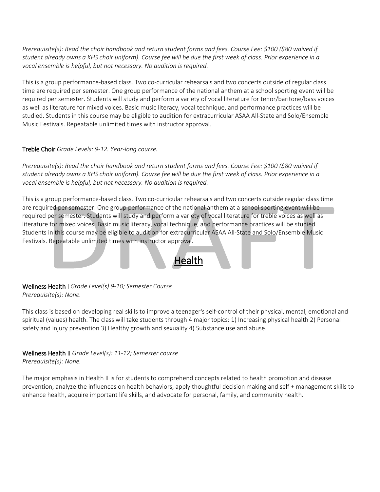*Prerequisite(s): Read the choir handbook and return student forms and fees. Course Fee: \$100 (\$80 waived if student already owns a KHS choir uniform). Course fee will be due the first week of class. Prior experience in a vocal ensemble is helpful, but not necessary. No audition is required.*

This is a group performance-based class. Two co-curricular rehearsals and two concerts outside of regular class time are required per semester. One group performance of the national anthem at a school sporting event will be required per semester. Students will study and perform a variety of vocal literature for tenor/baritone/bass voices as well as literature for mixed voices. Basic music literacy, vocal technique, and performance practices will be studied. Students in this course may be eligible to audition for extracurricular ASAA All-State and Solo/Ensemble Music Festivals. Repeatable unlimited times with instructor approval.

## Treble Choir *Grade Levels: 9-12. Year-long course.*

*Prerequisite(s): Read the choir handbook and return student forms and fees. Course Fee: \$100 (\$80 waived if student already owns a KHS choir uniform). Course fee will be due the first week of class. Prior experience in a vocal ensemble is helpful, but not necessary. No audition is required.*

This is a group performance-based class. Two co-curricular rehearsals and two concerts outside regular class time are required per semester. One group performance of the national anthem at a school sporting event will be required per semester. Students will study and perform a variety of vocal literature for treble voices as well as literature for mixed voices. Basic music literacy, vocal technique, and performance practices will be studied. Students in this course may be eligible to audition for extracurricular ASAA All-State and Solo/Ensemble Music Festivals. Repeatable unlimited times with instructor approval.



This class is based on developing real skills to improve a teenager's self-control of their physical, mental, emotional and spiritual (values) health. The class will take students through 4 major topics: 1) Increasing physical health 2) Personal safety and injury prevention 3) Healthy growth and sexuality 4) Substance use and abuse.

**Health** 

# Wellness Health II *Grade Level(s): 11-12; Semester course*

*Prerequisite(s): None.*

The major emphasis in Health II is for students to comprehend concepts related to health promotion and disease prevention, analyze the influences on health behaviors, apply thoughtful decision making and self + management skills to enhance health, acquire important life skills, and advocate for personal, family, and community health.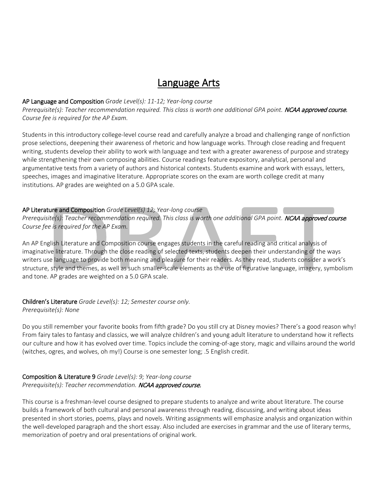# Language Arts

#### AP Language and Composition *Grade Level(s): 11-12; Year-long course*

*Prerequisite(s): Teacher recommendation required. This class is worth one additional GPA point.* NCAA approved course. *Course fee is required for the AP Exam.*

Students in this introductory college-level course read and carefully analyze a broad and challenging range of nonfiction prose selections, deepening their awareness of rhetoric and how language works. Through close reading and frequent writing, students develop their ability to work with language and text with a greater awareness of purpose and strategy while strengthening their own composing abilities. Course readings feature expository, analytical, personal and argumentative texts from a variety of authors and historical contexts. Students examine and work with essays, letters, speeches, images and imaginative literature. Appropriate scores on the exam are worth college credit at many institutions. AP grades are weighted on a 5.0 GPA scale.

#### AP Literature and Composition *Grade Level(s) 12; Year-long course*

*Prerequisite(s): Teacher recommendation required. This class is worth one additional GPA point.* NCAA approved course*. Course fee is required for the AP Exam.*

An AP English Literature and Composition course engages students in the careful reading and critical analysis of imaginative literature. Through the close reading of selected texts, students deepen their understanding of the ways writers use language to provide both meaning and pleasure for their readers. As they read, students consider a work's structure, style and themes, as well as such smaller-scale elements as the use of figurative language, imagery, symbolism and tone. AP grades are weighted on a 5.0 GPA scale.

# Children's Literature *Grade Level(s): 12; Semester course only.*

#### *Prerequisite(s): None*

Do you still remember your favorite books from fifth grade? Do you still cry at Disney movies? There's a good reason why! From fairy tales to fantasy and classics, we will analyze children's and young adult literature to understand how it reflects our culture and how it has evolved over time. Topics include the coming-of-age story, magic and villains around the world (witches, ogres, and wolves, oh my!) Course is one semester long; .5 English credit.

#### Composition & Literature 9 *Grade Level(s): 9; Year-long course Prerequisite(s): Teacher recommendation.* NCAA approved course.

This course is a freshman-level course designed to prepare students to analyze and write about literature. The course builds a framework of both cultural and personal awareness through reading, discussing, and writing about ideas presented in short stories, poems, plays and novels. Writing assignments will emphasize analysis and organization within the well-developed paragraph and the short essay. Also included are exercises in grammar and the use of literary terms, memorization of poetry and oral presentations of original work.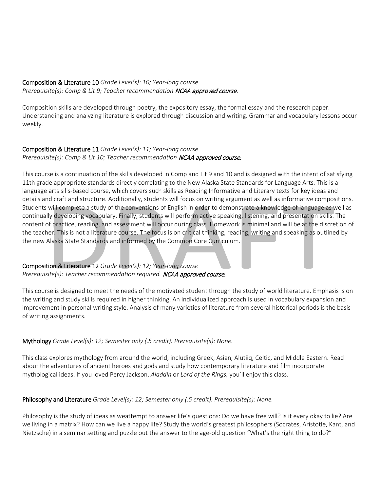# Composition & Literature 10 *Grade Level(s): 10; Year-long course*

*Prerequisite(s): Comp & Lit 9; Teacher recommendation* NCAA approved course.

Composition skills are developed through poetry, the expository essay, the formal essay and the research paper. Understanding and analyzing literature is explored through discussion and writing. Grammar and vocabulary lessons occur weekly.

#### Composition & Literature 11 *Grade Level(s): 11; Year-long course Prerequisite(s): Comp & Lit 10; Teacher recommendation NCAA approved course.*

This course is a continuation of the skills developed in Comp and Lit 9 and 10 and is designed with the intent of satisfying 11th grade appropriate standards directly correlating to the New Alaska State Standards for Language Arts. This is a language arts sills-based course, which covers such skills as Reading Informative and Literary texts for key ideas and details and craft and structure. Additionally, students will focus on writing argument as well as informative compositions. Students will complete a study of the conventions of English in order to demonstrate a knowledge of language as well as continually developing vocabulary. Finally, students will perform active speaking, listening, and presentation skills. The content of practice, reading, and assessment will occur during class. Homework is minimal and will be at the discretion of the teacher. This is not a literature course. The focus is on critical thinking, reading, writing and speaking as outlined by the new Alaska State Standards and informed by the Common Core Curriculum.

# Composition & Literature 12 *Grade Level(s): 12; Year-long course Prerequisite(s): Teacher recommendation required.* NCAA approved course.

This course is designed to meet the needs of the motivated student through the study of world literature. Emphasis is on the writing and study skills required in higher thinking. An individualized approach is used in vocabulary expansion and improvement in personal writing style. Analysis of many varieties of literature from several historical periods is the basis of writing assignments.

# Mythology *Grade Level(s): 12; Semester only (.5 credit). Prerequisite(s): None.*

This class explores mythology from around the world, including Greek, Asian, Alutiiq, Celtic, and Middle Eastern. Read about the adventures of ancient heroes and gods and study how contemporary literature and film incorporate mythological ideas. If you loved Percy Jackson, *Aladdin* or *Lord of the Rings,* you'll enjoy this class.

# Philosophy and Literature *Grade Level(s): 12; Semester only (.5 credit). Prerequisite(s): None.*

Philosophy is the study of ideas as weattempt to answer life's questions: Do we have free will? Is it every okay to lie? Are we living in a matrix? How can we live a happy life? Study the world's greatest philosophers (Socrates, Aristotle, Kant, and Nietzsche) in a seminar setting and puzzle out the answer to the age-old question "What's the right thing to do?"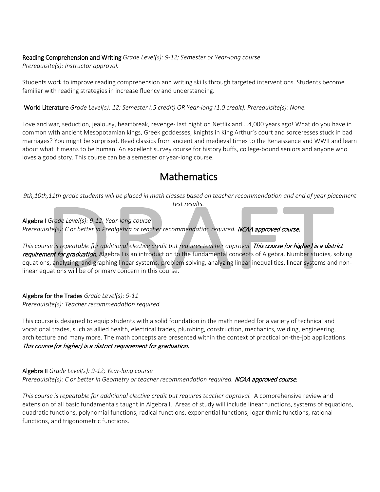Reading Comprehension and Writing *Grade Level(s): 9-12; Semester or Year-long course Prerequisite(s): Instructor approval.*

Students work to improve reading comprehension and writing skills through targeted interventions. Students become familiar with reading strategies in increase fluency and understanding.

World Literature *Grade Level(s): 12; Semester (.5 credit) OR Year-long (1.0 credit). Prerequisite(s): None.*

Love and war, seduction, jealousy, heartbreak, revenge- last night on Netflix and …4,000 years ago! What do you have in common with ancient Mesopotamian kings, Greek goddesses, knights in King Arthur's court and sorceresses stuck in bad marriages? You might be surprised. Read classics from ancient and medieval times to the Renaissance and WWII and learn about what it means to be human. An excellent survey course for history buffs, college-bound seniors and anyone who loves a good story. This course can be a semester or year-long course.

# **Mathematics**

*9th,10th,11th grade students will be placed in math classes based on teacher recommendation and end of year placement test results.*

Algebra I *Grade Level(s): 9-12; Year-long course*

*Prerequisite(s): C or better in Prealgebra or teacher recommendation required.* NCAA approved course.

*This course is repeatable for additional elective credit but requires teacher approval.* This course (or higher) is a district requirement for graduation. Algebra I is an introduction to the fundamental concepts of Algebra. Number studies, solving equations, analyzing, and graphing linear systems, problem solving, analyzing linear inequalities, linear systems and nonlinear equations will be of primary concern in this course.

Algebra for the Trades *Grade Level(s): 9-11 Prerequisite(s): Teacher recommendation required.*

This course is designed to equip students with a solid foundation in the math needed for a variety of technical and vocational trades, such as allied health, electrical trades, plumbing, construction, mechanics, welding, engineering, architecture and many more. The math concepts are presented within the context of practical on-the-job applications.  This course (or higher) is a district requirement for graduation.

Algebra II *Grade Level(s): 9-12; Year-long course* Prerequisite(s): C or better in Geometry or teacher recommendation required. **NCAA approved course.** 

*This course is repeatable for additional elective credit but requires teacher approval.* A comprehensive review and extension of all basic fundamentals taught in Algebra I.  Areas of study will include linear functions, systems of equations, quadratic functions, polynomial functions, radical functions, exponential functions, logarithmic functions, rational functions, and trigonometric functions.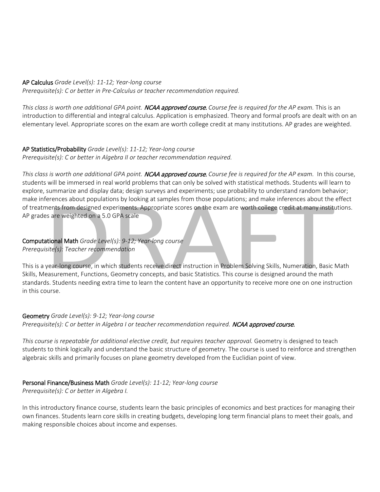#### AP Calculus *Grade Level(s): 11-12; Year-long course*

*Prerequisite(s): C or better in Pre-Calculus or teacher recommendation required.*

*This class is worth one additional GPA point.* NCAA approved course. *Course fee is required for the AP exam.* This is an introduction to differential and integral calculus. Application is emphasized. Theory and formal proofs are dealt with on an elementary level. Appropriate scores on the exam are worth college credit at many institutions. AP grades are weighted.

# AP Statistics/Probability *Grade Level(s): 11-12; Year-long course*

*Prerequisite(s): C or better in Algebra II or teacher recommendation required.*

*This class is worth one additional GPA point.* NCAA approved course. *Course fee is required for the AP exam.* In this course, students will be immersed in real world problems that can only be solved with statistical methods. Students will learn to explore, summarize and display data; design surveys and experiments; use probability to understand random behavior; make inferences about populations by looking at samples from those populations; and make inferences about the effect of treatments from designed experiments. Appropriate scores on the exam are worth college credit at many institutions. AP grades are weighted on a 5.0 GPA scale

#### Computational Math *Grade Level(s): 9-12; Year-long course Prerequisite(s): Teacher recommendation*

This is a year-long course, in which students receive direct instruction in Problem Solving Skills, Numeration, Basic Math Skills, Measurement, Functions, Geometry concepts, and basic Statistics. This course is designed around the math standards. Students needing extra time to learn the content have an opportunity to receive more one on one instruction in this course.

## Geometry *Grade Level(s): 9-12; Year-long course* Prerequisite(s): C or better in Algebra I or teacher recommendation required. **NCAA approved course.**

This course is repeatable for additional elective credit, but requires teacher approval. Geometry is designed to teach students to think logically and understand the basic structure of geometry. The course is used to reinforce and strengthen algebraic skills and primarily focuses on plane geometry developed from the Euclidian point of view.

# Personal Finance/Business Math *Grade Level(s): 11-12; Year-long course*

*Prerequisite(s): C or better in Algebra I.*

In this introductory finance course, students learn the basic principles of economics and best practices for managing their own finances. Students learn core skills in creating budgets, developing long term financial plans to meet their goals, and making responsible choices about income and expenses.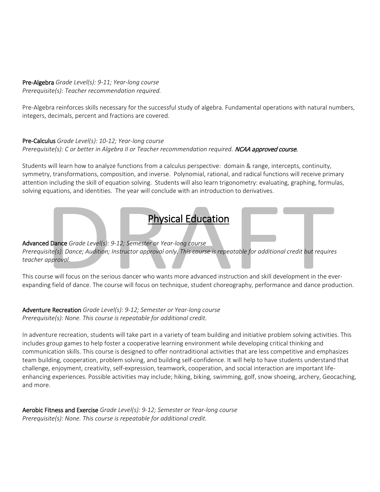#### Pre-Algebra *Grade Level(s): 9-11; Year-long course Prerequisite(s): Teacher recommendation required.*

Pre-Algebra reinforces skills necessary for the successful study of algebra. Fundamental operations with natural numbers, integers, decimals, percent and fractions are covered.

## Pre-Calculus *Grade Level(s): 10-12; Year-long course Prerequisite(s): C or better in Algebra II or Teacher recommendation required.* NCAA approved course.

Students will learn how to analyze functions from a calculus perspective:  domain & range, intercepts, continuity, symmetry, transformations, composition, and inverse.  Polynomial, rational, and radical functions will receive primary attention including the skill of equation solving.  Students will also learn trigonometry: evaluating, graphing, formulas, solving equations, and identities.  The year will conclude with an introduction to derivatives.

# Physical Education

# Advanced Dance *Grade Level(s): 9-12; Semester or Year-long course*

*Prerequisite(s): Dance; Audition; Instructor approval only. This course is repeatable for additional credit but requires teacher approval.*

This course will focus on the serious dancer who wants more advanced instruction and skill development in the everexpanding field of dance. The course will focus on technique, student choreography, performance and dance production.

## Adventure Recreation *Grade Level(s): 9-12; Semester or Year-long course Prerequisite(s): None. This course is repeatable for additional credit.*

In adventure recreation, students will take part in a variety of team building and initiative problem solving activities. This includes group games to help foster a cooperative learning environment while developing critical thinking and communication skills. This course is designed to offer nontraditional activities that are less competitive and emphasizes team building, cooperation, problem solving, and building self-confidence. It will help to have students understand that challenge, enjoyment, creativity, self-expression, teamwork, cooperation, and social interaction are important lifeenhancing experiences. Possible activities may include; hiking, biking, swimming, golf, snow shoeing, archery, Geocaching, and more.

Aerobic Fitness and Exercise *Grade Level(s): 9-12; Semester or Year-long course Prerequisite(s): None. This course is repeatable for additional credit.*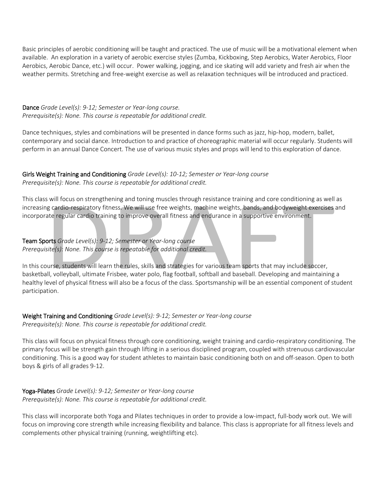Basic principles of aerobic conditioning will be taught and practiced. The use of music will be a motivational element when available. An exploration in a variety of aerobic exercise styles (Zumba, Kickboxing, Step Aerobics, Water Aerobics, Floor Aerobics, Aerobic Dance, etc.) will occur. Power walking, jogging, and ice skating will add variety and fresh air when the weather permits. Stretching and free-weight exercise as well as relaxation techniques will be introduced and practiced.

Dance *Grade Level(s): 9-12; Semester or Year-long course. Prerequisite(s): None. This course is repeatable for additional credit.*

Dance techniques, styles and combinations will be presented in dance forms such as jazz, hip-hop, modern, ballet, contemporary and social dance. Introduction to and practice of choreographic material will occur regularly. Students will perform in an annual Dance Concert. The use of various music styles and props will lend to this exploration of dance.

Girls Weight Training and Conditioning *Grade Level(s): 10-12; Semester or Year-long course Prerequisite(s): None. This course is repeatable for additional credit.*

This class will focus on strengthening and toning muscles through resistance training and core conditioning as well as increasing cardio-respiratory fitness. We will use free weights, machine weights, bands, and bodyweight exercises and incorporate regular cardio training to improve overall fitness and endurance in a supportive environment.

Team Sports *Grade Level(s): 9-12; Semester or Year-long course Prerequisite(s): None. This course is repeatable for additional credit.*

In this course, students will learn the rules, skills and strategies for various team sports that may include soccer, basketball, volleyball, ultimate Frisbee, water polo, flag football, softball and baseball. Developing and maintaining a healthy level of physical fitness will also be a focus of the class. Sportsmanship will be an essential component of student participation.

Weight Training and Conditioning *Grade Level(s): 9-12; Semester or Year-long course Prerequisite(s): None. This course is repeatable for additional credit.*

This class will focus on physical fitness through core conditioning, weight training and cardio-respiratory conditioning. The primary focus will be strength gain through lifting in a serious disciplined program, coupled with strenuous cardiovascular conditioning. This is a good way for student athletes to maintain basic conditioning both on and off-season. Open to both boys & girls of all grades 9-12.

Yoga-Pilates *Grade Level(s): 9-12; Semester or Year-long course Prerequisite(s): None. This course is repeatable for additional credit.*

This class will incorporate both Yoga and Pilates techniques in order to provide a low-impact, full-body work out. We will focus on improving core strength while increasing flexibility and balance. This class is appropriate for all fitness levels and complements other physical training (running, weightlifting etc).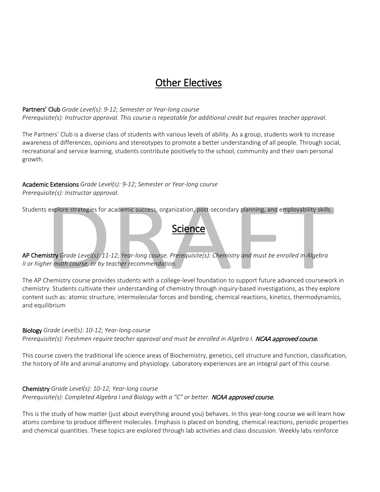# Other Electives

#### Partners' Club *Grade Level(s): 9-12; Semester or Year-long course*

*Prerequisite(s): Instructor approval. This course is repeatable for additional credit but requires teacher approval.*

The Partners' Club is a diverse class of students with various levels of ability. As a group, students work to increase awareness of differences, opinions and stereotypes to promote a better understanding of all people. Through social, recreational and service learning, students contribute positively to the school, community and their own personal growth.

# Academic Extensions *Grade Level(s): 9-12; Semester or Year-long course*

*Prerequisite(s): Instructor approval.*

Students explore strategies for academic success, organization, post-secondary planning, and employability skills.

**Science** 

AP Chemistry *Grade Level(s): 11-12; Year-long course. Prerequisite(s): Chemistry and must be enrolled in Algebra II or higher math course, or by teacher recommendation.*

The AP Chemistry course provides students with a college-level foundation to support future advanced coursework in chemistry. Students cultivate their understanding of chemistry through inquiry-based investigations, as they explore content such as: atomic structure, intermolecular forces and bonding, chemical reactions, kinetics, thermodynamics, and equilibrium

#### Biology *Grade Level(s): 10-12; Year-long course*

*Prerequisite(s): Freshmen require teacher approval and must be enrolled in Algebra I.* NCAA approved course.

This course covers the traditional life science areas of Biochemistry, genetics, cell structure and function, classification, the history of life and animal anatomy and physiology. Laboratory experiences are an integral part of this course.

#### Chemistry *Grade Level(s): 10-12; Year-long course* Prerequisite(s): Completed Algebra I and Biology with a "C" or better. **NCAA approved course.**

This is the study of how matter (just about everything around you) behaves. In this year-long course we will learn how atoms combine to produce different molecules. Emphasis is placed on bonding, chemical reactions, periodic properties and chemical quantities. These topics are explored through lab activities and class discussion. Weekly labs reinforce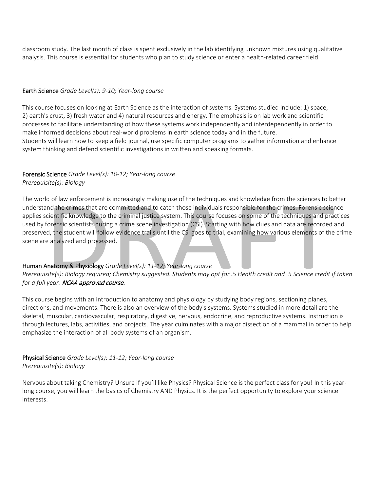classroom study. The last month of class is spent exclusively in the lab identifying unknown mixtures using qualitative analysis. This course is essential for students who plan to study science or enter a health-related career field.

#### Earth Science *Grade Level(s): 9-10; Year-long course*

This course focuses on looking at Earth Science as the interaction of systems. Systems studied include: 1) space, 2) earth's crust, 3) fresh water and 4) natural resources and energy. The emphasis is on lab work and scientific processes to facilitate understanding of how these systems work independently and interdependently in order to make informed decisions about real-world problems in earth science today and in the future. Students will learn how to keep a field journal, use specific computer programs to gather information and enhance system thinking and defend scientific investigations in written and speaking formats.

# Forensic Science *Grade Level(s): 10-12; Year-long course*

*Prerequisite(s): Biology*

The world of law enforcement is increasingly making use of the techniques and knowledge from the sciences to better understand the crimes that are committed and to catch those individuals responsible for the crimes. Forensic science applies scientific knowledge to the criminal justice system. This course focuses on some of the techniques and practices used by forensic scientists during a crime scene investigation (CSI). Starting with how clues and data are recorded and preserved, the student will follow evidence trails until the CSI goes to trial, examining how various elements of the crime scene are analyzed and processed.

# Human Anatomy & Physiology *Grade Level(s): 11-12; Year-long course*

*Prerequisite(s): Biology required; Chemistry suggested. Students may opt for .5 Health credit and .5 Science credit if taken for a full year.* NCAA approved course.

This course begins with an introduction to anatomy and physiology by studying body regions, sectioning planes, directions, and movements. There is also an overview of the body's systems. Systems studied in more detail are the skeletal, muscular, cardiovascular, respiratory, digestive, nervous, endocrine, and reproductive systems. Instruction is through lectures, labs, activities, and projects. The year culminates with a major dissection of a mammal in order to help emphasize the interaction of all body systems of an organism.

## Physical Science *Grade Level(s): 11-12; Year-long course Prerequisite(s): Biology*

Nervous about taking Chemistry? Unsure if you'll like Physics? Physical Science is the perfect class for you! In this yearlong course, you will learn the basics of Chemistry AND Physics. It is the perfect opportunity to explore your science interests.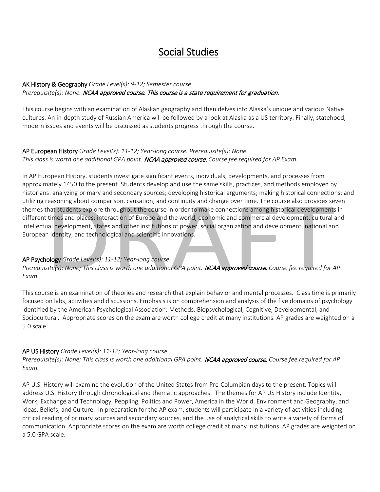# Social Studies

# AK History & Geography *Grade Level(s): 9-12; Semester course Prerequisite(s): None.* NCAA approved course. This course is a state requirement for graduation.

This course begins with an examination of Alaskan geography and then delves into Alaska's unique and various Native cultures. An in-depth study of Russian America will be followed by a look at Alaska as a US territory. Finally, statehood, modern issues and events will be discussed as students progress through the course.

## AP European History *Grade Level(s): 11-12; Year-long course. Prerequisite(s): None. This class is worth one additional GPA point.* NCAA approved course. *Course fee required for AP Exam.*

In AP European History, students investigate significant events, individuals, developments, and processes from approximately 1450 to the present. Students develop and use the same skills, practices, and methods employed by historians: analyzing primary and secondary sources; developing historical arguments; making historical connections; and utilizing reasoning about comparison, causation, and continuity and change over time. The course also provides seven themes that students explore throughout the course in order to make connections among historical developments in different times and places: interaction of Europe and the world, economic and commercial development, cultural and intellectual development, states and other institutions of power, social organization and development, national and European identity, and technological and scientific innovations.

# AP Psychology *Grade Level(s): 11-12; Year-long course*

*Prerequisite(s): None; This class is worth one additional GPA point.* NCAA approved course. *Course fee required for AP Exam.*

This course is an examination of theories and research that explain behavior and mental processes. Class time is primarily focused on labs, activities and discussions. Emphasis is on comprehension and analysis of the five domains of psychology identified by the American Psychological Association: Methods, Biopsychological, Cognitive, Developmental, and Sociocultural. Appropriate scores on the exam are worth college credit at many institutions. AP grades are weighted on a 5.0 scale.

## AP US History *Grade Level(s): 11-12; Year-long course*

*Prerequisite(s): None; This class is worth one additional GPA point.* NCAA approved course. *Course fee required for AP Exam.*

AP U.S. History will examine the evolution of the United States from Pre-Columbian days to the present. Topics will address U.S. History through chronological and thematic approaches. The themes for AP US History include Identity, Work, Exchange and Technology, Peopling, Politics and Power, America in the World, Environment and Geography, and Ideas, Beliefs, and Culture. In preparation for the AP exam, students will participate in a variety of activities including critical reading of primary sources and secondary sources, and the use of analytical skills to write a variety of forms of communication. Appropriate scores on the exam are worth college credit at many institutions. AP grades are weighted on a 5.0 GPA scale.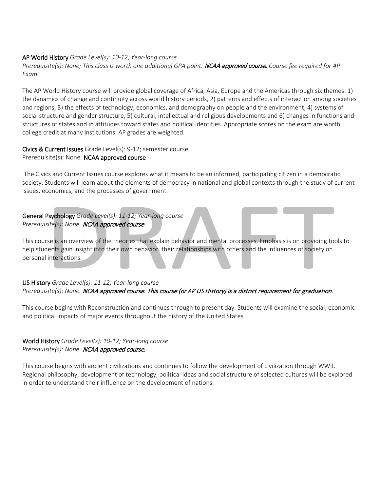#### AP World History *Grade Level(s): 10-12; Year-long course*

*Prerequisite(s): None; This class is worth one additional GPA point.* NCAA approved course. *Course fee required for AP Exam.*

The AP World History course will provide global coverage of Africa, Asia, Europe and the Americas through six themes: 1) the dynamics of change and continuity across world history periods, 2) patterns and effects of interaction among societies and regions, 3) the effects of technology, economics, and demography on people and the environment, 4) systems of social structure and gender structure, 5) cultural, intellectual and religious developments and 6) changes in functions and structures of states and in attitudes toward states and political identities. Appropriate scores on the exam are worth college credit at many institutions. AP grades are weighted.

# Civics & Current Issues Grade Level(s): 9-12; semester course

Prerequisite(s): None. NCAA approved course

The Civics and Current Issues course explores what it means to be an informed, participating citizen in a democratic society. Students will learn about the elements of democracy in national and global contexts through the study of current issues, economics, and the processes of government.

# General Psychology *Grade Level(s): 11-12; Year-long course Prerequisite(s): None.* NCAA approved course

This course is an overview of the theories that explain behavior and mental processes. Emphasis is on providing tools to help students gain insight into their own behavior, their relationships with others and the influences of society on personal interactions.

## US History *Grade Level(s): 11-12; Year-long course Prerequisite(s): None.* NCAA approved course. This course (or AP US History) is a district requirement for graduation.

This course begins with Reconstruction and continues through to present day. Students will examine the social, economic and political impacts of major events throughout the history of the United States

# World History *Grade Level(s): 10-12; Year-long course Prerequisite(s): None.* NCAA approved course.

This course begins with ancient civilizations and continues to follow the development of civilization through WWII. Regional philosophy, development of technology, political ideas and social structure of selected cultures will be explored in order to understand their influence on the development of nations.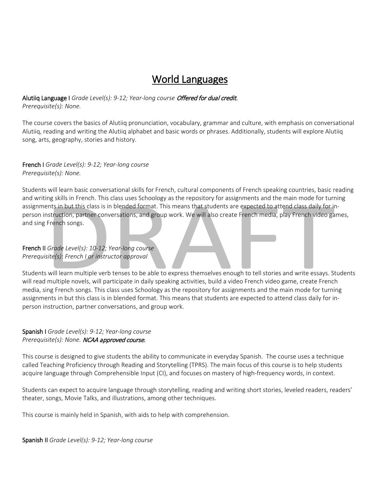# World Languages

## Alutiiq Language I *Grade Level(s): 9-12; Year-long course* Offered for dual credit. *Prerequisite(s): None.*

The course covers the basics of Alutiiq pronunciation, vocabulary, grammar and culture, with emphasis on conversational Alutiiq, reading and writing the Alutiiq alphabet and basic words or phrases. Additionally, students will explore Alutiiq song, arts, geography, stories and history.

## French I *Grade Level(s): 9-12; Year-long course Prerequisite(s): None.*

Students will learn basic conversational skills for French, cultural components of French speaking countries, basic reading and writing skills in French. This class uses Schoology as the repository for assignments and the main mode for turning assignments in but this class is in blended format. This means that students are expected to attend class daily for inperson instruction, partner conversations, and group work. We will also create French media, play French video games, and sing French songs.

#### French II *Grade Level(s): 10-12; Year-long course Prerequisite(s): French I or instructor approval*

Students will learn multiple verb tenses to be able to express themselves enough to tell stories and write essays. Students will read multiple novels, will participate in daily speaking activities, build a video French video game, create French media, sing French songs. This class uses Schoology as the repository for assignments and the main mode for turning assignments in but this class is in blended format. This means that students are expected to attend class daily for inperson instruction, partner conversations, and group work.

## Spanish I *Grade Level(s): 9-12; Year-long course Prerequisite(s): None.* NCAA approved course.

This course is designed to give students the ability to communicate in everyday Spanish. The course uses a technique called Teaching Proficiency through Reading and Storytelling (TPRS). The main focus of this course is to help students acquire language through Comprehensible Input (CI), and focuses on mastery of high-frequency words, in context.

Students can expect to acquire language through storytelling, reading and writing short stories, leveled readers, readers' theater, songs, Movie Talks, and illustrations, among other techniques.

This course is mainly held in Spanish, with aids to help with comprehension.

Spanish II *Grade Level(s): 9-12; Year-long course*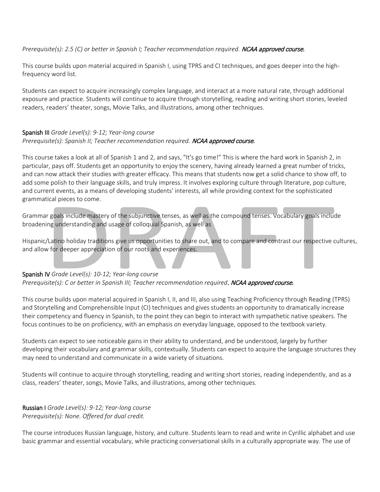#### *Prerequisite(s): 2.5 (C) or better in Spanish I; Teacher recommendation required.* NCAA approved course.

This course builds upon material acquired in Spanish I, using TPRS and CI techniques, and goes deeper into the highfrequency word list.

Students can expect to acquire increasingly complex language, and interact at a more natural rate, through additional exposure and practice. Students will continue to acquire through storytelling, reading and writing short stories, leveled readers, readers' theater, songs, Movie Talks, and illustrations, among other techniques.

#### Spanish III *Grade Level(s): 9-12; Year-long course Prerequisite(s): Spanish II; Teacher recommendation required.* NCAA approved course.

This course takes a look at all of Spanish 1 and 2, and says, "It's go time!" This is where the hard work in Spanish 2, in particular, pays off. Students get an opportunity to enjoy the scenery, having already learned a great number of tricks, and can now attack their studies with greater efficacy. This means that students now get a solid chance to show off, to add some polish to their language skills, and truly impress. It involves exploring culture through literature, pop culture, and current events, as a means of developing students' interests, all while providing context for the sophisticated grammatical pieces to come.

Grammar goals include mastery of the subjunctive tenses, as well as the compound tenses. Vocabulary goals include broadening understanding and usage of colloquial Spanish, as well as

Hispanic/Latino holiday traditions give us opportunities to share out, and to compare and contrast our respective cultures, and allow for deeper appreciation of our roots and experiences.

## Spanish IV *Grade Level(s): 10-12; Year-long course*

Prerequisite(s): C or better in Spanish III; Teacher recommendation required. **NCAA approved course.** 

This course builds upon material acquired in Spanish I, II, and III, also using Teaching Proficiency through Reading (TPRS) and Storytelling and Comprehensible Input (CI) techniques and gives students an opportunity to dramatically increase their competency and fluency in Spanish, to the point they can begin to interact with sympathetic native speakers. The focus continues to be on proficiency, with an emphasis on everyday language, opposed to the textbook variety.

Students can expect to see noticeable gains in their ability to understand, and be understood, largely by further developing their vocabulary and grammar skills, contextually. Students can expect to acquire the language structures they may need to understand and communicate in a wide variety of situations.

Students will continue to acquire through storytelling, reading and writing short stories, reading independently, and as a class, readers' theater, songs, Movie Talks, and illustrations, among other techniques.

#### Russian I *Grade Level(s): 9-12; Year-long course Prerequisite(s): None. Offered for dual credit.*

The course introduces Russian language, history, and culture. Students learn to read and write in Cyrillic alphabet and use basic grammar and essential vocabulary, while practicing conversational skills in a culturally appropriate way. The use of